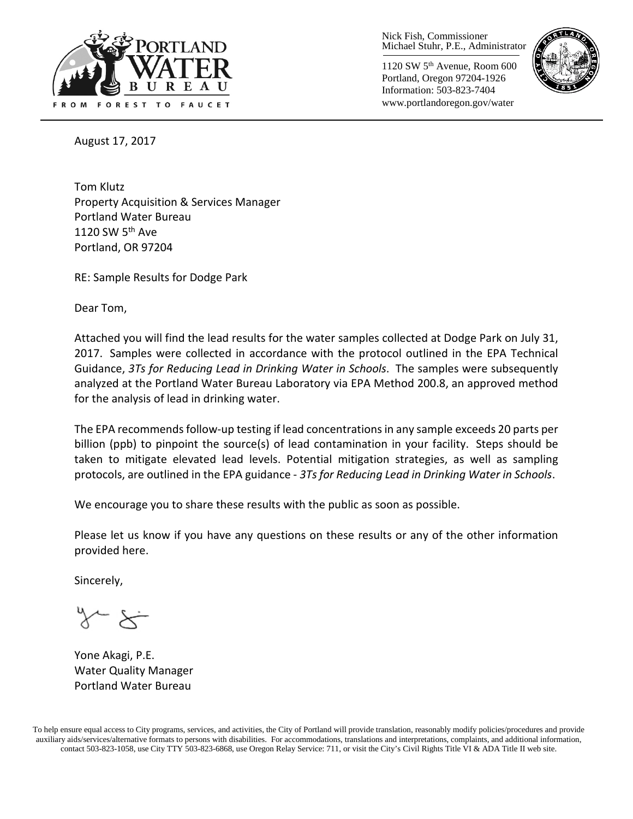

Nick Fish, Commissioner Michael Stuhr, P.E., Administrator

1120 SW 5th Avenue, Room 600 Portland, Oregon 97204-1926 Information: 503-823-7404 www.portlandoregon.gov/water



August 17, 2017

Tom Klutz Property Acquisition & Services Manager Portland Water Bureau 1120 SW  $5<sup>th</sup>$  Ave Portland, OR 97204

RE: Sample Results for Dodge Park

Dear Tom,

Attached you will find the lead results for the water samples collected at Dodge Park on July 31, 2017. Samples were collected in accordance with the protocol outlined in the EPA Technical Guidance, *3Ts for Reducing Lead in Drinking Water in Schools*. The samples were subsequently analyzed at the Portland Water Bureau Laboratory via EPA Method 200.8, an approved method for the analysis of lead in drinking water.

The EPA recommends follow-up testing if lead concentrations in any sample exceeds 20 parts per billion (ppb) to pinpoint the source(s) of lead contamination in your facility. Steps should be taken to mitigate elevated lead levels. Potential mitigation strategies, as well as sampling protocols, are outlined in the EPA guidance - *3Ts for Reducing Lead in Drinking Water in Schools*.

We encourage you to share these results with the public as soon as possible.

Please let us know if you have any questions on these results or any of the other information provided here.

Sincerely,

Yone Akagi, P.E. Water Quality Manager Portland Water Bureau

To help ensure equal access to City programs, services, and activities, the City of Portland will provide translation, reasonably modify policies/procedures and provide auxiliary aids/services/alternative formats to persons with disabilities. For accommodations, translations and interpretations, complaints, and additional information, contact 503-823-1058, use City TTY 503-823-6868, use Oregon Relay Service: 711, or visi[t the City's Civil Rights Title VI & ADA Title II web site.](http://www.portlandoregon.gov/oehr/66458)